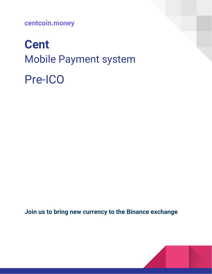**centcoin.money**

# **Cent** Mobile Payment system Pre-ICO

**Join us to bring new currency to the Binance exchange**

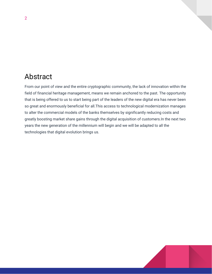### Abstract

From our point of view and the entire cryptographic community, the lack of innovation within the field of financial heritage management, means we remain anchored to the past. The opportunity that is being offered to us to start being part of the leaders of the new digital era has never been so great and enormously beneficial for all.This access to technological modernization manages to alter the commercial models of the banks themselves by significantly reducing costs and greatly boosting market share gains through the digital acquisition of customers.In the next two years the new generation of the millennium will begin and we will be adapted to all the technologies that digital evolution brings us.

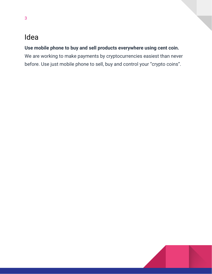### Idea

3

### **Use mobile phone to buy and sell products everywhere using cent coin.**

We are working to make payments by cryptocurrencies easiest than never before. Use just mobile phone to sell, buy and control your "crypto coins".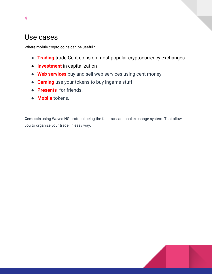### Use cases

Where mobile crypto coins can be useful?

- **Trading** trade Cent coins on most popular cryptocurrency exchanges
- **Investment** in capitalization
- **Web services** buy and sell web services using cent money
- **Gaming** use your tokens to buy ingame stuff
- **Presents** for friends.
- **Mobile** tokens.

**Cent coin** using Waves-NG protocol being the fast transactional exchange system. That allow you to organize your trade in easy way.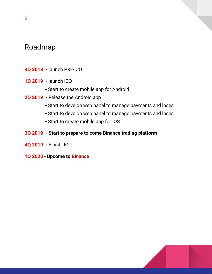### Roadmap

- **4Q 2018 -** launch PRE-ICO
- **1Q 2019 -** launch ICO
	- **-** Start to create mobile app for Android
- **2Q 2019 -** Release the Android app
	- **-** Start to develop web panel to manage payments and loses
	- **-** Start to develop web panel to manage payments and loses
	- **-** Start to create mobile app for IOS
- **3Q 2019 - Start to prepare to come Binance trading platform**
- **4Q 2019 -** Finish ICO
- **1Q 2020 Upcome to Binance**



5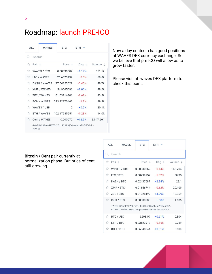## Roadmap: launch PRE-ICO

| ALL.                     |                      | <b>WAVES</b> | <b>BTC</b>                                     | $FTH$ $\sim$     |                     |  |  |  |
|--------------------------|----------------------|--------------|------------------------------------------------|------------------|---------------------|--|--|--|
|                          | Search               |              |                                                |                  |                     |  |  |  |
|                          | ☆ Pair ≜             |              | Price $\triangle$                              | Chq $\triangleq$ | Volume $\triangleq$ |  |  |  |
|                          | <b>MAVES / BTC</b>   |              | 0.00030502                                     | $+1.19%$         | 551.1k              |  |  |  |
|                          | <b>M</b> LTC / WAVES |              | 26 6523492                                     | $-0.5%$          | 59.8k               |  |  |  |
| ☆                        | DASH / WAVES         |              | 77.64353529                                    | $-0.45%$         | 49.7k               |  |  |  |
| 52                       | <b>XMR / WAVES</b>   |              | 54 9065096                                     | $+2.06%$         | 48.6k               |  |  |  |
| 57                       | <b>ZEC / WAVES</b>   |              | 61.03716806                                    | $-1.62%$         | 43.2k               |  |  |  |
| 52                       | <b>BCH / WAVES</b>   |              | 223 92170462                                   | $-1.7%$          | 29.8k               |  |  |  |
| ☆                        | WAVES / USD          |              | $\overline{2}$                                 | $+0.5%$          | 20.1k               |  |  |  |
| 52                       |                      | ETH / WAVES  | 102.17585551                                   | $-1.28%$         | 14.0k               |  |  |  |
| $\overleftrightarrow{L}$ |                      | Cent / WAVES | 0.000072                                       | $+12.5%$         | 3,547.661           |  |  |  |
|                          | <b>WAVES</b>         |              | 4WzEK49Abr4e1kZ55zYS1UKUUdkjCQvxqbHaZ37M5dYZ / |                  |                     |  |  |  |

Now a day centcoin has good positions at WAVES DEX currency exchange. So we believe that pre ICO will allow as to grow faster.

Please visit at waves DEX platform to check this point.

#### **Bitcoin / Cent** pair currently at normalization phase. But price of cent still growing.

| ALL. | <b>WAVES</b>                                                                                   | <b>BTC</b>   | <b>ETH</b> |                    |  |  |  |  |
|------|------------------------------------------------------------------------------------------------|--------------|------------|--------------------|--|--|--|--|
|      | Search                                                                                         |              |            |                    |  |  |  |  |
| 57   | Pair $\triangle$                                                                               | Price $\div$ | Chq $\div$ | Volume $\triangle$ |  |  |  |  |
| 57   | <b>WAVES / BTC</b>                                                                             | 0.00030362   | $-0.14%$   | 146 704            |  |  |  |  |
| 57   | LTC / BTC                                                                                      | 0.00799257   | $-1.32%$   | 30.35              |  |  |  |  |
| 57   | DASH / BTC                                                                                     | 0.02437687   | $+2.84%$   | 28.1               |  |  |  |  |
| 53   | XMR / BTC                                                                                      | 0.01656744   | $-0.62%$   | 20.109             |  |  |  |  |
| 53   | ZEC / BTC                                                                                      | 0.01928199   | $+4.29%$   | 15.959             |  |  |  |  |
| 17   | Cent / BTC                                                                                     | 0.00000003   | $+50%$     | 1.185              |  |  |  |  |
|      | 4WzEK49Abr4e1kZ55zYS1UKUUdkjCQvxqbHaZ37M5dYZ /<br>8LQW8f7P5d5PZM7GtZEBgaqRPGSzS3DfPuiXrURJ4AJS |              |            |                    |  |  |  |  |
| 57   | BTC / USD                                                                                      | 6.598.09     | $+0.61%$   | 0.804              |  |  |  |  |
| 52   | ETH / BTC                                                                                      | 0.03123913   | $-0.16%$   | 0.759              |  |  |  |  |
| 52   | BCH / BTC                                                                                      | 0.06848544   | $+0.81%$   | 0.603              |  |  |  |  |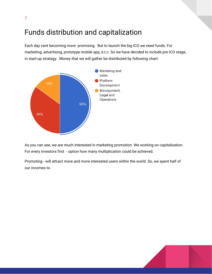### Funds distribution and capitalization

7

Each day cent becoming more promising. But to launch the big ICO we need funds. For marketing, advertising, prototype mobile app, e.t.c. So we have decided to include pre ICO stage, in start-up strategy. Money that we will gather be distributed by following chart:



As you can see, we are much interested in marketing promotion. We working on capitalization. For every investors first - option how many multiplication could be achieved.

Promoting - will attract more and more interested users within the world. So, we spent half of our incomes to .